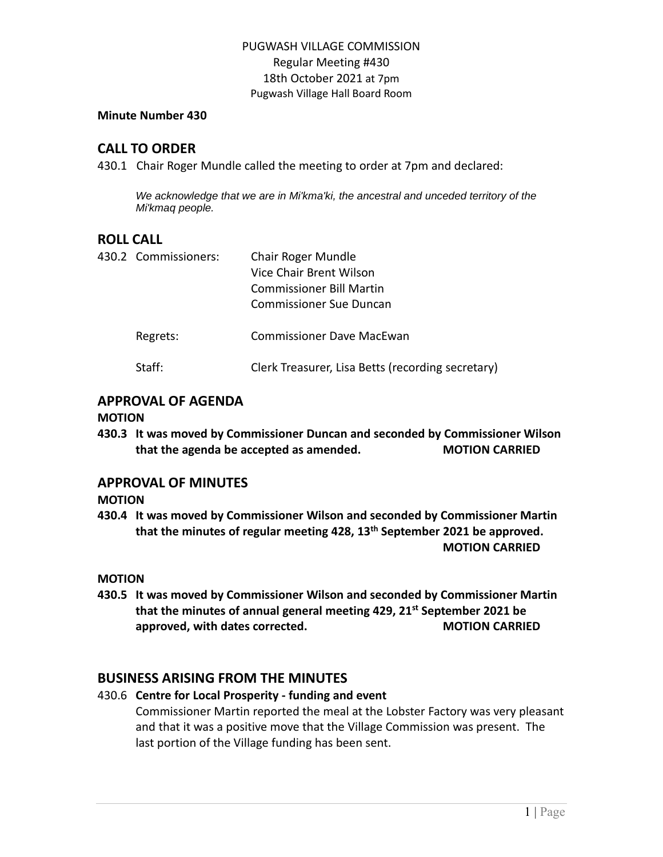#### **Minute Number 430**

# **CALL TO ORDER**

430.1 Chair Roger Mundle called the meeting to order at 7pm and declared:

*We acknowledge that we are in Mi'kma'ki, the ancestral and unceded territory of the Mi'kmaq people.*

# **ROLL CALL**

| 430.2 Commissioners: | Chair Roger Mundle<br>Vice Chair Brent Wilson<br><b>Commissioner Bill Martin</b><br>Commissioner Sue Duncan |
|----------------------|-------------------------------------------------------------------------------------------------------------|
| Regrets:             | <b>Commissioner Dave MacEwan</b>                                                                            |
| Staff:               | Clerk Treasurer, Lisa Betts (recording secretary)                                                           |

# **APPROVAL OF AGENDA**

#### **MOTION**

**430.3 It was moved by Commissioner Duncan and seconded by Commissioner Wilson that the agenda be accepted as amended. MOTION CARRIED**

## **APPROVAL OF MINUTES**

**MOTION**

**430.4 It was moved by Commissioner Wilson and seconded by Commissioner Martin that the minutes of regular meeting 428, 13th September 2021 be approved. MOTION CARRIED**

#### **MOTION**

**430.5 It was moved by Commissioner Wilson and seconded by Commissioner Martin that the minutes of annual general meeting 429, 21st September 2021 be approved, with dates corrected. MOTION CARRIED**

# **BUSINESS ARISING FROM THE MINUTES**

## 430.6 **Centre for Local Prosperity - funding and event** Commissioner Martin reported the meal at the Lobster Factory was very pleasant and that it was a positive move that the Village Commission was present. The last portion of the Village funding has been sent.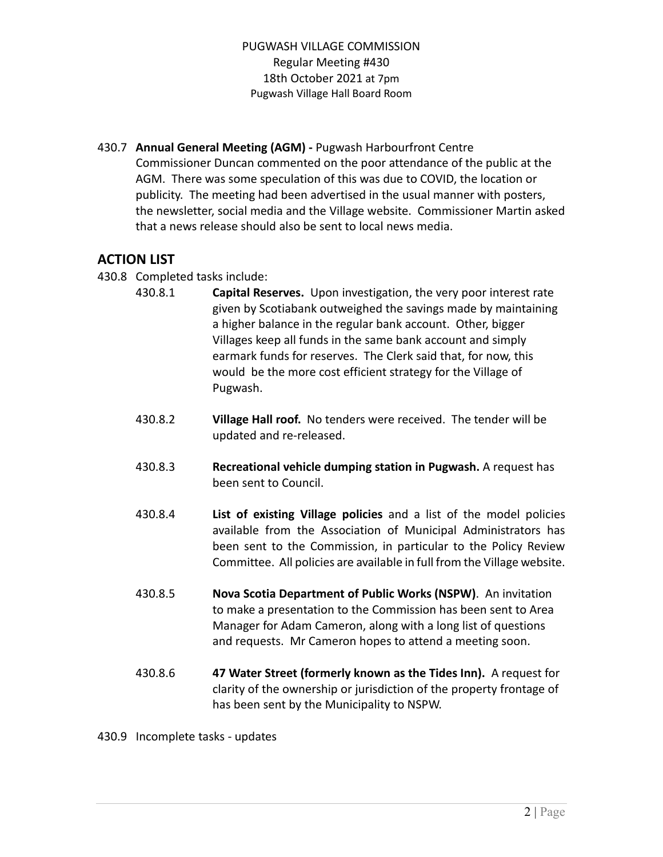430.7 **Annual General Meeting (AGM) -** Pugwash Harbourfront Centre Commissioner Duncan commented on the poor attendance of the public at the AGM. There was some speculation of this was due to COVID, the location or publicity. The meeting had been advertised in the usual manner with posters, the newsletter, social media and the Village website. Commissioner Martin asked that a news release should also be sent to local news media.

# **ACTION LIST**

- 430.8 Completed tasks include:
	- 430.8.1 **Capital Reserves.** Upon investigation, the very poor interest rate given by Scotiabank outweighed the savings made by maintaining a higher balance in the regular bank account. Other, bigger Villages keep all funds in the same bank account and simply earmark funds for reserves. The Clerk said that, for now, this would be the more cost efficient strategy for the Village of Pugwash.
	- 430.8.2 **Village Hall roof.** No tenders were received. The tender will be updated and re-released.
	- 430.8.3 **Recreational vehicle dumping station in Pugwash.** A request has been sent to Council.
	- 430.8.4 **List of existing Village policies** and a list of the model policies available from the Association of Municipal Administrators has been sent to the Commission, in particular to the Policy Review Committee. All policies are available in full from the Village website.
	- 430.8.5 **Nova Scotia Department of Public Works (NSPW)**. An invitation to make a presentation to the Commission has been sent to Area Manager for Adam Cameron, along with a long list of questions and requests. Mr Cameron hopes to attend a meeting soon.
	- 430.8.6 **47 Water Street (formerly known as the Tides Inn).** A request for clarity of the ownership or jurisdiction of the property frontage of has been sent by the Municipality to NSPW.

430.9 Incomplete tasks - updates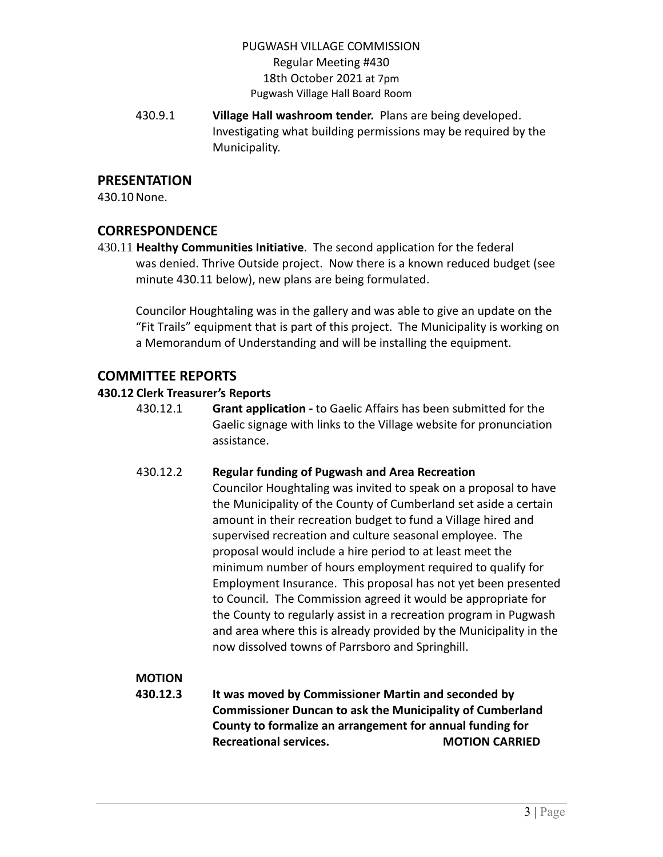430.9.1 **Village Hall washroom tender.** Plans are being developed. Investigating what building permissions may be required by the Municipality.

# **PRESENTATION**

430.10None.

# **CORRESPONDENCE**

430.11 **Healthy Communities Initiative**. The second application for the federal was denied. Thrive Outside project. Now there is a known reduced budget (see minute 430.11 below), new plans are being formulated.

Councilor Houghtaling was in the gallery and was able to give an update on the "Fit Trails" equipment that is part of this project. The Municipality is working on a Memorandum of Understanding and will be installing the equipment.

# **COMMITTEE REPORTS**

## **430.12 Clerk Treasurer's Reports**

430.12.1 **Grant application -** to Gaelic Affairs has been submitted for the Gaelic signage with links to the Village website for pronunciation assistance.

## 430.12.2 **Regular funding of Pugwash and Area Recreation**

Councilor Houghtaling was invited to speak on a proposal to have the Municipality of the County of Cumberland set aside a certain amount in their recreation budget to fund a Village hired and supervised recreation and culture seasonal employee. The proposal would include a hire period to at least meet the minimum number of hours employment required to qualify for Employment Insurance. This proposal has not yet been presented to Council. The Commission agreed it would be appropriate for the County to regularly assist in a recreation program in Pugwash and area where this is already provided by the Municipality in the now dissolved towns of Parrsboro and Springhill.

# **MOTION**

**430.12.3 It was moved by Commissioner Martin and seconded by Commissioner Duncan to ask the Municipality of Cumberland County to formalize an arrangement for annual funding for Recreational services. MOTION CARRIED**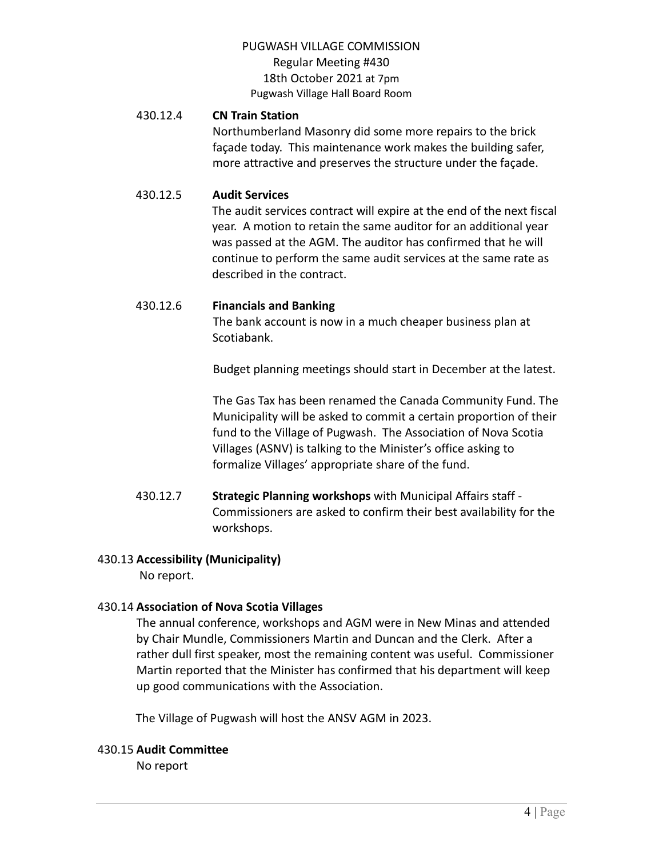## 430.12.4 **CN Train Station**

Northumberland Masonry did some more repairs to the brick façade today. This maintenance work makes the building safer, more attractive and preserves the structure under the façade.

## 430.12.5 **Audit Services**

The audit services contract will expire at the end of the next fiscal year. A motion to retain the same auditor for an additional year was passed at the AGM. The auditor has confirmed that he will continue to perform the same audit services at the same rate as described in the contract.

## 430.12.6 **Financials and Banking**

The bank account is now in a much cheaper business plan at Scotiabank.

Budget planning meetings should start in December at the latest.

The Gas Tax has been renamed the Canada Community Fund. The Municipality will be asked to commit a certain proportion of their fund to the Village of Pugwash. The Association of Nova Scotia Villages (ASNV) is talking to the Minister's office asking to formalize Villages' appropriate share of the fund.

430.12.7 **Strategic Planning workshops** with Municipal Affairs staff - Commissioners are asked to confirm their best availability for the workshops.

## 430.13 **Accessibility (Municipality)**

No report.

## 430.14 **Association of Nova Scotia Villages**

The annual conference, workshops and AGM were in New Minas and attended by Chair Mundle, Commissioners Martin and Duncan and the Clerk. After a rather dull first speaker, most the remaining content was useful. Commissioner Martin reported that the Minister has confirmed that his department will keep up good communications with the Association.

The Village of Pugwash will host the ANSV AGM in 2023.

#### 430.15 **Audit Committee**

No report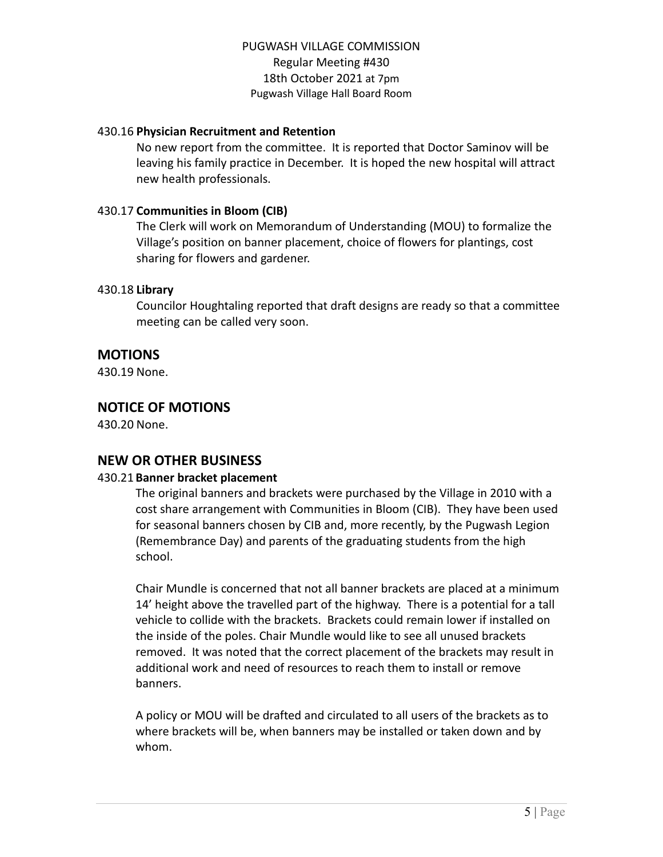## 430.16 **Physician Recruitment and Retention**

No new report from the committee. It is reported that Doctor Saminov will be leaving his family practice in December. It is hoped the new hospital will attract new health professionals.

## 430.17 **Communities in Bloom (CIB)**

The Clerk will work on Memorandum of Understanding (MOU) to formalize the Village's position on banner placement, choice of flowers for plantings, cost sharing for flowers and gardener.

## 430.18 **Library**

Councilor Houghtaling reported that draft designs are ready so that a committee meeting can be called very soon.

# **MOTIONS**

430.19 None.

# **NOTICE OF MOTIONS**

430.20 None.

# **NEW OR OTHER BUSINESS**

#### 430.21 **Banner bracket placement**

The original banners and brackets were purchased by the Village in 2010 with a cost share arrangement with Communities in Bloom (CIB). They have been used for seasonal banners chosen by CIB and, more recently, by the Pugwash Legion (Remembrance Day) and parents of the graduating students from the high school.

Chair Mundle is concerned that not all banner brackets are placed at a minimum 14' height above the travelled part of the highway. There is a potential for a tall vehicle to collide with the brackets. Brackets could remain lower if installed on the inside of the poles. Chair Mundle would like to see all unused brackets removed. It was noted that the correct placement of the brackets may result in additional work and need of resources to reach them to install or remove banners.

A policy or MOU will be drafted and circulated to all users of the brackets as to where brackets will be, when banners may be installed or taken down and by whom.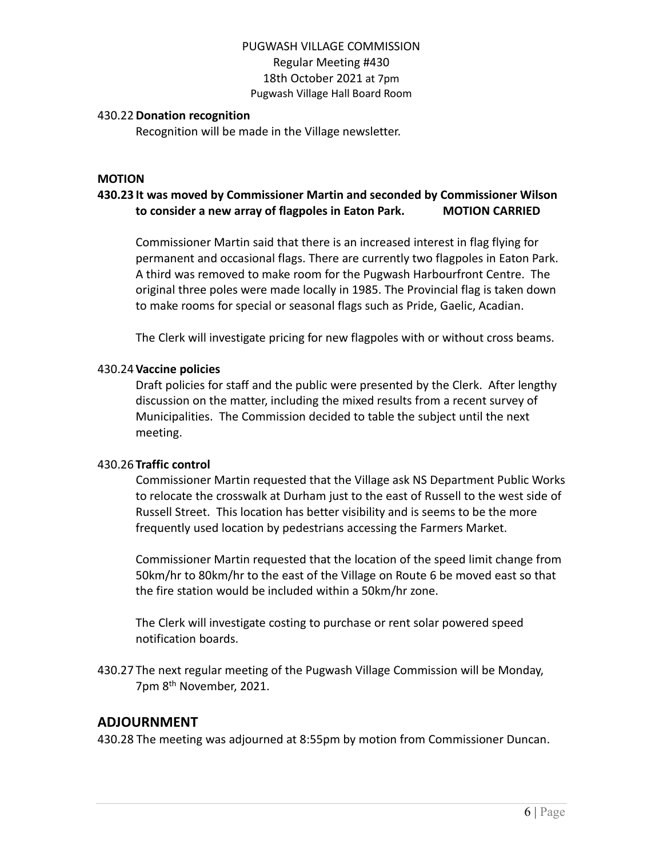#### 430.22**Donation recognition**

Recognition will be made in the Village newsletter.

#### **MOTION**

# **430.23 It was moved by Commissioner Martin and seconded by Commissioner Wilson to consider a new array of flagpoles in Eaton Park. MOTION CARRIED**

Commissioner Martin said that there is an increased interest in flag flying for permanent and occasional flags. There are currently two flagpoles in Eaton Park. A third was removed to make room for the Pugwash Harbourfront Centre. The original three poles were made locally in 1985. The Provincial flag is taken down to make rooms for special or seasonal flags such as Pride, Gaelic, Acadian.

The Clerk will investigate pricing for new flagpoles with or without cross beams.

#### 430.24**Vaccine policies**

Draft policies for staff and the public were presented by the Clerk. After lengthy discussion on the matter, including the mixed results from a recent survey of Municipalities. The Commission decided to table the subject until the next meeting.

#### 430.26 **Traffic control**

Commissioner Martin requested that the Village ask NS Department Public Works to relocate the crosswalk at Durham just to the east of Russell to the west side of Russell Street. This location has better visibility and is seems to be the more frequently used location by pedestrians accessing the Farmers Market.

Commissioner Martin requested that the location of the speed limit change from 50km/hr to 80km/hr to the east of the Village on Route 6 be moved east so that the fire station would be included within a 50km/hr zone.

The Clerk will investigate costing to purchase or rent solar powered speed notification boards.

430.27 The next regular meeting of the Pugwash Village Commission will be Monday, 7pm 8<sup>th</sup> November, 2021.

#### **ADJOURNMENT**

430.28 The meeting was adjourned at 8:55pm by motion from Commissioner Duncan.